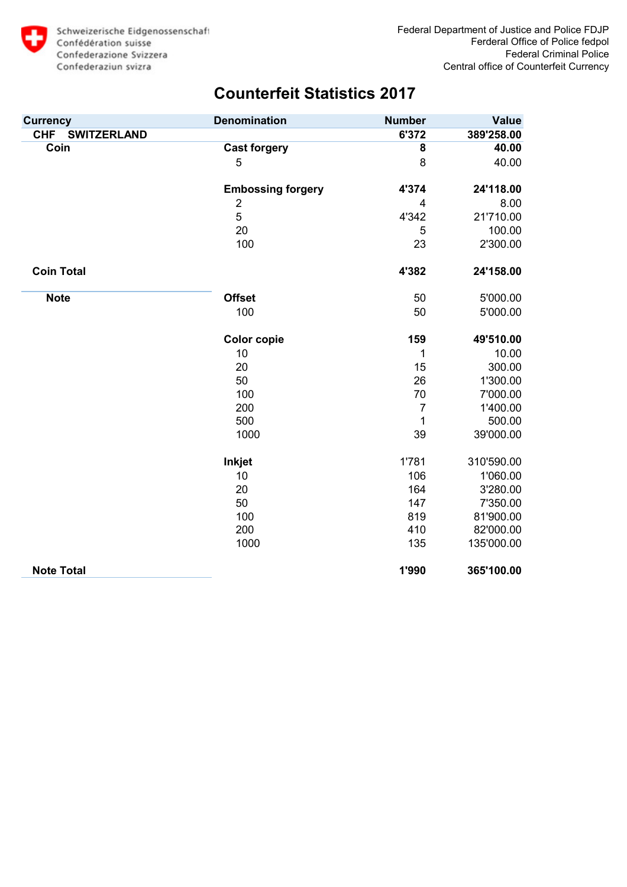

| <b>Currency</b>                  | <b>Denomination</b>      | <b>Number</b>  | <b>Value</b> |
|----------------------------------|--------------------------|----------------|--------------|
| <b>SWITZERLAND</b><br><b>CHF</b> |                          | 6'372          | 389'258.00   |
| Coin                             | <b>Cast forgery</b>      | 8              | 40.00        |
|                                  | 5                        | 8              | 40.00        |
|                                  |                          |                |              |
|                                  | <b>Embossing forgery</b> | 4'374          | 24'118.00    |
|                                  | $\overline{c}$           | 4              | 8.00         |
|                                  | 5                        | 4'342          | 21'710.00    |
|                                  | 20                       | 5              | 100.00       |
|                                  | 100                      | 23             | 2'300.00     |
| <b>Coin Total</b>                |                          | 4'382          | 24'158.00    |
| <b>Note</b>                      | <b>Offset</b>            | 50             | 5'000.00     |
|                                  | 100                      | 50             | 5'000.00     |
|                                  | <b>Color copie</b>       | 159            | 49'510.00    |
|                                  | 10                       | 1              | 10.00        |
|                                  | 20                       | 15             | 300.00       |
|                                  | 50                       | 26             | 1'300.00     |
|                                  | 100                      | 70             | 7'000.00     |
|                                  | 200                      | $\overline{7}$ | 1'400.00     |
|                                  | 500                      | 1              | 500.00       |
|                                  | 1000                     | 39             | 39'000.00    |
|                                  | Inkjet                   | 1'781          | 310'590.00   |
|                                  | 10                       | 106            | 1'060.00     |
|                                  | 20                       | 164            | 3'280.00     |
|                                  | 50                       | 147            | 7'350.00     |
|                                  | 100                      | 819            | 81'900.00    |
|                                  | 200                      | 410            | 82'000.00    |
|                                  | 1000                     | 135            | 135'000.00   |
| <b>Note Total</b>                |                          | 1'990          | 365'100.00   |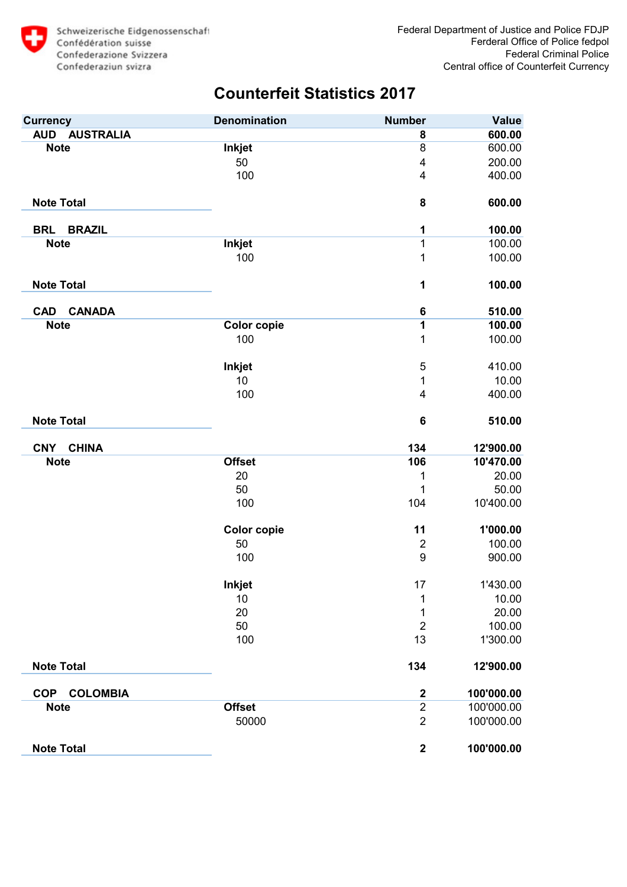

| <b>Currency</b>                | <b>Denomination</b> | <b>Number</b>    | <b>Value</b> |
|--------------------------------|---------------------|------------------|--------------|
| <b>AUD</b><br><b>AUSTRALIA</b> |                     | 8                | 600.00       |
| <b>Note</b>                    | <b>Inkjet</b>       | 8                | 600.00       |
|                                | 50                  | 4                | 200.00       |
|                                | 100                 | 4                | 400.00       |
| <b>Note Total</b>              |                     | 8                | 600.00       |
| <b>BRAZIL</b><br><b>BRL</b>    |                     | 1                | 100.00       |
| <b>Note</b>                    | <b>Inkjet</b>       | 1                | 100.00       |
|                                | 100                 | 1                | 100.00       |
| <b>Note Total</b>              |                     | 1                | 100.00       |
| <b>CAD</b><br><b>CANADA</b>    |                     | 6                | 510.00       |
| <b>Note</b>                    | <b>Color copie</b>  | 1                | 100.00       |
|                                | 100                 | 1                | 100.00       |
|                                | <b>Inkjet</b>       | 5                | 410.00       |
|                                | 10                  | 1                | 10.00        |
|                                | 100                 | $\overline{4}$   | 400.00       |
| <b>Note Total</b>              |                     | $\bf 6$          | 510.00       |
| <b>CNY</b><br><b>CHINA</b>     |                     | 134              | 12'900.00    |
| <b>Note</b>                    | <b>Offset</b>       | 106              | 10'470.00    |
|                                | 20                  | 1                | 20.00        |
|                                | 50                  | 1                | 50.00        |
|                                | 100                 | 104              | 10'400.00    |
|                                | <b>Color copie</b>  | 11               | 1'000.00     |
|                                | 50                  | $\mathbf 2$      | 100.00       |
|                                | 100                 | 9                | 900.00       |
|                                | Inkjet              | 17               | 1'430.00     |
|                                | 10                  | 1                | 10.00        |
|                                | 20                  | 1                | 20.00        |
|                                | 50                  | $\overline{2}$   | 100.00       |
|                                | 100                 | 13               | 1'300.00     |
| <b>Note Total</b>              |                     | 134              | 12'900.00    |
| <b>COLOMBIA</b><br><b>COP</b>  |                     | $\boldsymbol{2}$ | 100'000.00   |
| <b>Note</b>                    | <b>Offset</b>       | $\overline{2}$   | 100'000.00   |
|                                | 50000               | $\overline{2}$   | 100'000.00   |
| <b>Note Total</b>              |                     | $\mathbf{2}$     | 100'000.00   |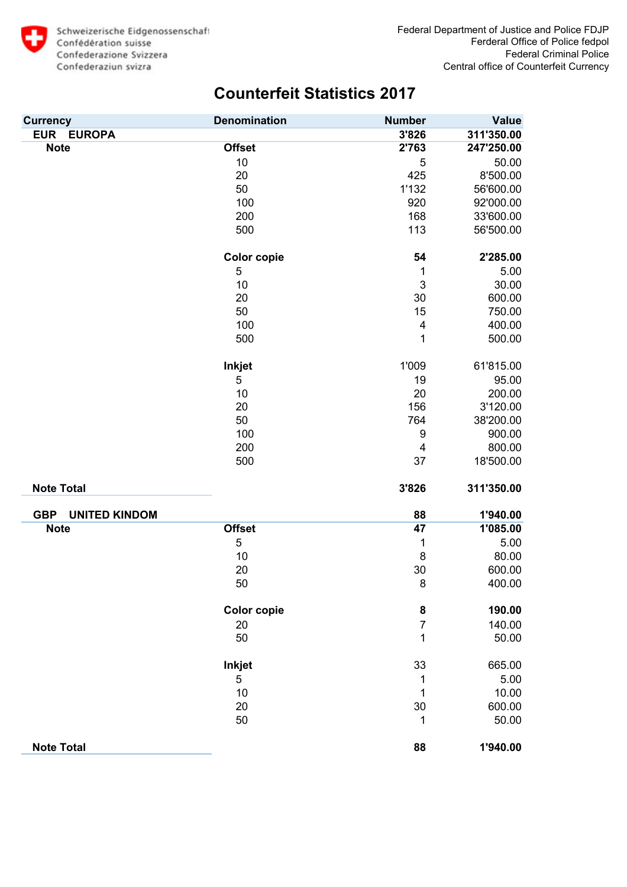

| <b>Currency</b>                    | <b>Denomination</b> | <b>Number</b>  | <b>Value</b> |
|------------------------------------|---------------------|----------------|--------------|
| <b>EUR</b><br><b>EUROPA</b>        |                     | 3'826          | 311'350.00   |
| <b>Note</b>                        | <b>Offset</b>       | 2'763          | 247'250.00   |
|                                    | 10                  | 5              | 50.00        |
|                                    | 20                  | 425            | 8'500.00     |
|                                    | 50                  | 1'132          | 56'600.00    |
|                                    | 100                 | 920            | 92'000.00    |
|                                    | 200                 | 168            | 33'600.00    |
|                                    | 500                 | 113            | 56'500.00    |
|                                    | <b>Color copie</b>  | 54             | 2'285.00     |
|                                    | 5                   | 1              | 5.00         |
|                                    | 10                  | 3              | 30.00        |
|                                    | 20                  | 30             | 600.00       |
|                                    | 50                  | 15             | 750.00       |
|                                    | 100                 | 4              | 400.00       |
|                                    | 500                 | 1              | 500.00       |
|                                    | Inkjet              | 1'009          | 61'815.00    |
|                                    | 5                   | 19             | 95.00        |
|                                    | 10                  | 20             | 200.00       |
|                                    | 20                  | 156            | 3'120.00     |
|                                    | 50                  | 764            | 38'200.00    |
|                                    | 100                 | 9              | 900.00       |
|                                    | 200                 | 4              | 800.00       |
|                                    | 500                 | 37             | 18'500.00    |
| <b>Note Total</b>                  |                     | 3'826          | 311'350.00   |
| <b>GBP</b><br><b>UNITED KINDOM</b> |                     | 88             | 1'940.00     |
| <b>Note</b>                        | <b>Offset</b>       | 47             | 1'085.00     |
|                                    | 5                   | 1              | 5.00         |
|                                    | 10                  | 8              | 80.00        |
|                                    | 20                  | 30             | 600.00       |
|                                    | 50                  | 8              | 400.00       |
|                                    | <b>Color copie</b>  | 8              | 190.00       |
|                                    | 20                  | $\overline{7}$ | 140.00       |
|                                    | 50                  | 1              | 50.00        |
|                                    | Inkjet              | 33             | 665.00       |
|                                    | 5                   | 1              | 5.00         |
|                                    | 10                  | 1              | 10.00        |
|                                    | 20                  | 30             | 600.00       |
|                                    | 50                  | 1              | 50.00        |
| <b>Note Total</b>                  |                     | 88             | 1'940.00     |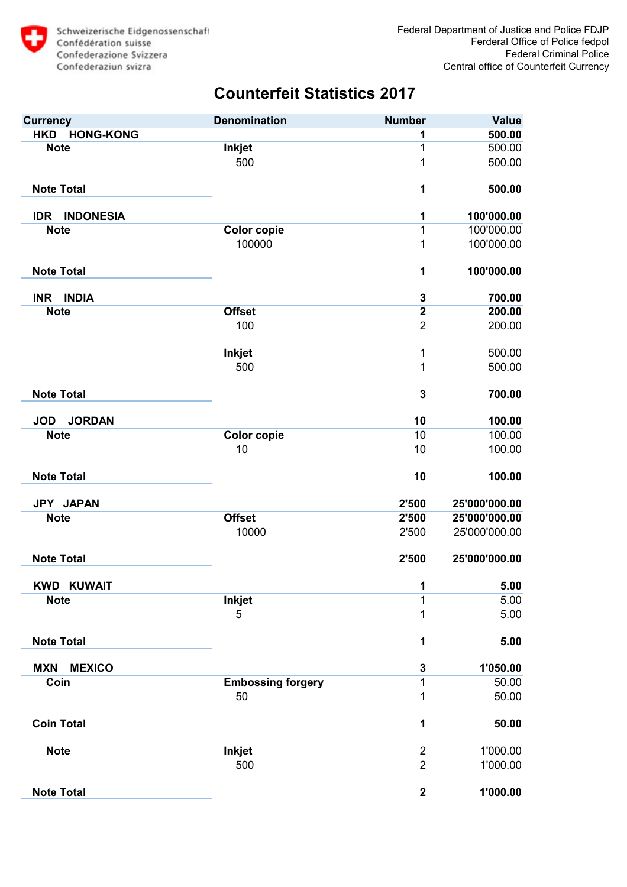

| <b>Currency</b>                | <b>Denomination</b>      | <b>Number</b>    | <b>Value</b>  |
|--------------------------------|--------------------------|------------------|---------------|
| <b>HONG-KONG</b><br><b>HKD</b> |                          | 1                | 500.00        |
| <b>Note</b>                    | <b>Inkjet</b>            | 1                | 500.00        |
|                                | 500                      | 1                | 500.00        |
| <b>Note Total</b>              |                          | 1                | 500.00        |
| <b>INDONESIA</b><br><b>IDR</b> |                          | 1                | 100'000.00    |
| <b>Note</b>                    | <b>Color copie</b>       | 1                | 100'000.00    |
|                                | 100000                   | 1                | 100'000.00    |
| <b>Note Total</b>              |                          | 1                | 100'000.00    |
| INR INDIA                      |                          | 3                | 700.00        |
| <b>Note</b>                    | <b>Offset</b>            | $\overline{2}$   | 200.00        |
|                                | 100                      | $\overline{2}$   | 200.00        |
|                                | <b>Inkjet</b>            | 1                | 500.00        |
|                                | 500                      | 1                | 500.00        |
| <b>Note Total</b>              |                          | $\mathbf 3$      | 700.00        |
| <b>JORDAN</b><br><b>JOD</b>    |                          | 10               | 100.00        |
| <b>Note</b>                    | <b>Color copie</b>       | 10               | 100.00        |
|                                | 10                       | 10               | 100.00        |
| <b>Note Total</b>              |                          | 10               | 100.00        |
| JPY JAPAN                      |                          | 2'500            | 25'000'000.00 |
| <b>Note</b>                    | <b>Offset</b>            | 2'500            | 25'000'000.00 |
|                                | 10000                    | 2'500            | 25'000'000.00 |
| <b>Note Total</b>              |                          | 2'500            | 25'000'000.00 |
| <b>KWD KUWAIT</b>              |                          | $\mathbf 1$      | 5.00          |
| <b>Note</b>                    | <b>Inkjet</b>            | 1                | 5.00          |
|                                | 5                        | 1                | 5.00          |
| <b>Note Total</b>              |                          | 1                | 5.00          |
| <b>MEXICO</b><br><b>MXN</b>    |                          | 3                | 1'050.00      |
| Coin                           | <b>Embossing forgery</b> | 1                | 50.00         |
|                                | 50                       | 1                | 50.00         |
| <b>Coin Total</b>              |                          | 1                | 50.00         |
| <b>Note</b>                    | <b>Inkjet</b>            | $\overline{2}$   | 1'000.00      |
|                                | 500                      | $\overline{2}$   | 1'000.00      |
| <b>Note Total</b>              |                          | $\boldsymbol{2}$ | 1'000.00      |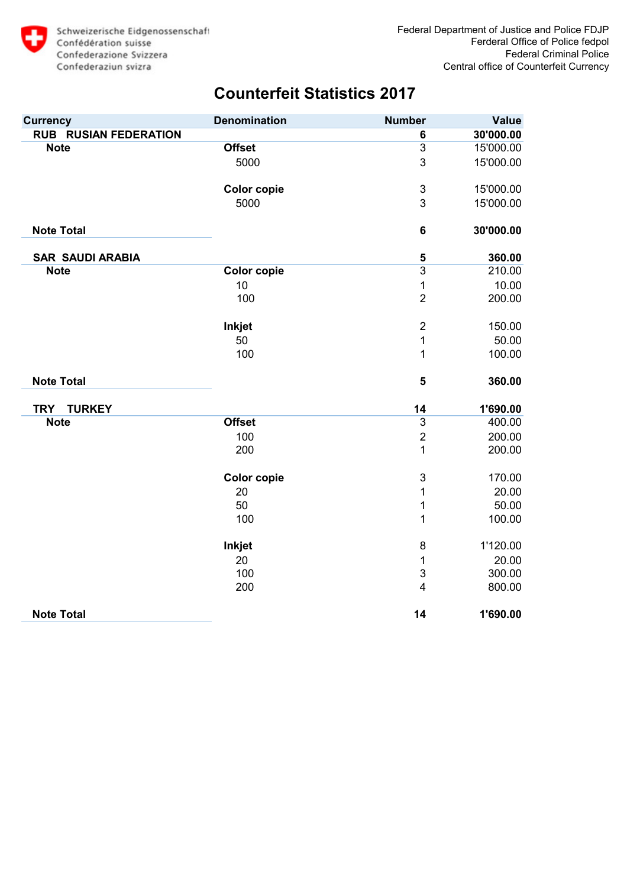

| <b>Currency</b>              | <b>Denomination</b> | <b>Number</b>           | <b>Value</b> |
|------------------------------|---------------------|-------------------------|--------------|
| <b>RUB RUSIAN FEDERATION</b> |                     | 6                       | 30'000.00    |
| <b>Note</b>                  | <b>Offset</b>       | $\overline{3}$          | 15'000.00    |
|                              | 5000                | 3                       | 15'000.00    |
|                              | <b>Color copie</b>  | $\mathsf 3$             | 15'000.00    |
|                              | 5000                | 3                       | 15'000.00    |
| <b>Note Total</b>            |                     | $6\phantom{1}6$         | 30'000.00    |
| <b>SAR SAUDI ARABIA</b>      |                     | 5                       | 360.00       |
| <b>Note</b>                  | <b>Color copie</b>  | $\overline{3}$          | 210.00       |
|                              | 10                  | 1                       | 10.00        |
|                              | 100                 | $\overline{2}$          | 200.00       |
|                              | <b>Inkjet</b>       | $\overline{2}$          | 150.00       |
|                              | 50                  | 1                       | 50.00        |
|                              | 100                 | 1                       | 100.00       |
| <b>Note Total</b>            |                     | 5                       | 360.00       |
| <b>TRY</b><br><b>TURKEY</b>  |                     | 14                      | 1'690.00     |
| <b>Note</b>                  | <b>Offset</b>       | $\overline{3}$          | 400.00       |
|                              | 100                 | $\overline{2}$          | 200.00       |
|                              | 200                 | 1                       | 200.00       |
|                              | <b>Color copie</b>  | $\mathsf 3$             | 170.00       |
|                              | 20                  | 1                       | 20.00        |
|                              | 50                  | 1                       | 50.00        |
|                              | 100                 | 1                       | 100.00       |
|                              | <b>Inkjet</b>       | $\bf 8$                 | 1'120.00     |
|                              | 20                  | 1                       | 20.00        |
|                              | 100                 | 3                       | 300.00       |
|                              | 200                 | $\overline{\mathbf{4}}$ | 800.00       |
| <b>Note Total</b>            |                     | 14                      | 1'690.00     |